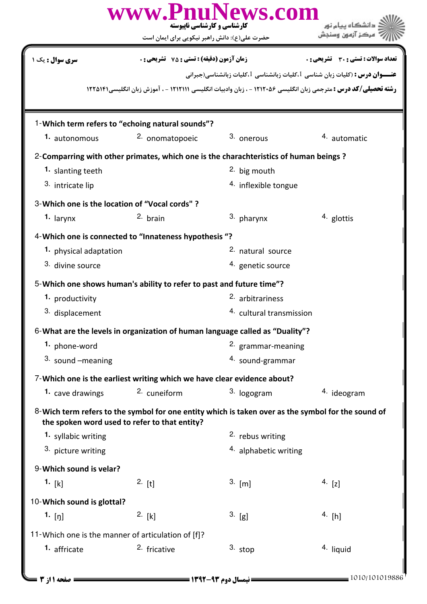|                                                                                                                                                     | www.PnuNews.com<br><b>کارشناسی و کارشناسی نایبوسته</b><br>حضرت علی(ع): دانش راهبر نیکویی برای ایمان است |                                     |                                                                                    |  |  |  |  |
|-----------------------------------------------------------------------------------------------------------------------------------------------------|---------------------------------------------------------------------------------------------------------|-------------------------------------|------------------------------------------------------------------------------------|--|--|--|--|
| <b>سری سوال :</b> یک ۱                                                                                                                              | <b>زمان آزمون (دقیقه) : تستی : 75 ٪ تشریحی : 0</b>                                                      |                                     | <b>تعداد سوالات : تستی : 30 ٪ تشریحی : 0</b>                                       |  |  |  |  |
|                                                                                                                                                     |                                                                                                         |                                     | <b>عنـــوان درس :</b> (کلیات زبان شناسی 1،کلیات زبانشناسی 1،کلیات زبانشناسی(جبرانی |  |  |  |  |
| <b>رشته تحصیلی/کد درس :</b> مترجمی زبان انگلیسی ۱۲۱۲۰۵۶ - ، زبان وادبیات انگلیسی ۱۲۱۲۱۱۱ - ، آموزش زبان انگلیسی۱۲۲۵۱۴۱                              |                                                                                                         |                                     |                                                                                    |  |  |  |  |
|                                                                                                                                                     |                                                                                                         |                                     |                                                                                    |  |  |  |  |
| 1-Which term refers to "echoing natural sounds"?                                                                                                    |                                                                                                         |                                     |                                                                                    |  |  |  |  |
| 1. autonomous                                                                                                                                       | 2. onomatopoeic                                                                                         | 3. onerous                          | 4. automatic                                                                       |  |  |  |  |
| 2-Comparring with other primates, which one is the charachteristics of human beings?                                                                |                                                                                                         |                                     |                                                                                    |  |  |  |  |
| 1. slanting teeth                                                                                                                                   |                                                                                                         | <sup>2</sup> big mouth              |                                                                                    |  |  |  |  |
| 3. intricate lip                                                                                                                                    |                                                                                                         | <sup>4.</sup> inflexible tongue     |                                                                                    |  |  |  |  |
| 3-Which one is the location of "Vocal cords" ?                                                                                                      |                                                                                                         |                                     |                                                                                    |  |  |  |  |
| $1.$ larynx                                                                                                                                         | 2. brain                                                                                                | 3. pharynx                          | $4.$ glottis                                                                       |  |  |  |  |
| 4-Which one is connected to "Innateness hypothesis "?                                                                                               |                                                                                                         |                                     |                                                                                    |  |  |  |  |
| 1. physical adaptation                                                                                                                              |                                                                                                         | <sup>2.</sup> natural source        |                                                                                    |  |  |  |  |
| 3. divine source                                                                                                                                    |                                                                                                         | 4. genetic source                   |                                                                                    |  |  |  |  |
| 5-Which one shows human's ability to refer to past and future time"?                                                                                |                                                                                                         |                                     |                                                                                    |  |  |  |  |
| 1. productivity                                                                                                                                     |                                                                                                         | <sup>2.</sup> arbitrariness         |                                                                                    |  |  |  |  |
| 3. displacement                                                                                                                                     |                                                                                                         | <sup>4.</sup> cultural transmission |                                                                                    |  |  |  |  |
| 6-What are the levels in organization of human language called as "Duality"?                                                                        |                                                                                                         |                                     |                                                                                    |  |  |  |  |
| 1. phone-word                                                                                                                                       |                                                                                                         | 2. grammar-meaning                  |                                                                                    |  |  |  |  |
| $3.$ sound $-meaning$                                                                                                                               |                                                                                                         | 4. sound-grammar                    |                                                                                    |  |  |  |  |
| 7-Which one is the earliest writing which we have clear evidence about?                                                                             |                                                                                                         |                                     |                                                                                    |  |  |  |  |
| 1. cave drawings                                                                                                                                    | 2. cuneiform                                                                                            | 3. logogram                         | 4. ideogram                                                                        |  |  |  |  |
| 8-Wich term refers to the symbol for one entity which is taken over as the symbol for the sound of<br>the spoken word used to refer to that entity? |                                                                                                         |                                     |                                                                                    |  |  |  |  |
| 1. syllabic writing                                                                                                                                 |                                                                                                         | <sup>2</sup> rebus writing          |                                                                                    |  |  |  |  |
| 3. picture writing                                                                                                                                  |                                                                                                         | <sup>4.</sup> alphabetic writing    |                                                                                    |  |  |  |  |
| 9-Which sound is velar?                                                                                                                             |                                                                                                         |                                     |                                                                                    |  |  |  |  |
| 1. $[k]$                                                                                                                                            | $2.$ [t]                                                                                                | $3.$ [m]                            | 4. $[z]$                                                                           |  |  |  |  |
| 10-Which sound is glottal?                                                                                                                          |                                                                                                         |                                     |                                                                                    |  |  |  |  |
| 1. $[\eta]$                                                                                                                                         | 2. [k]                                                                                                  | $3.$ [g]                            | 4. [h]                                                                             |  |  |  |  |
| 11-Which one is the manner of articulation of [f]?                                                                                                  |                                                                                                         |                                     |                                                                                    |  |  |  |  |
| 1. affricate                                                                                                                                        | 2. fricative                                                                                            | $3.$ stop                           | 4. liquid                                                                          |  |  |  |  |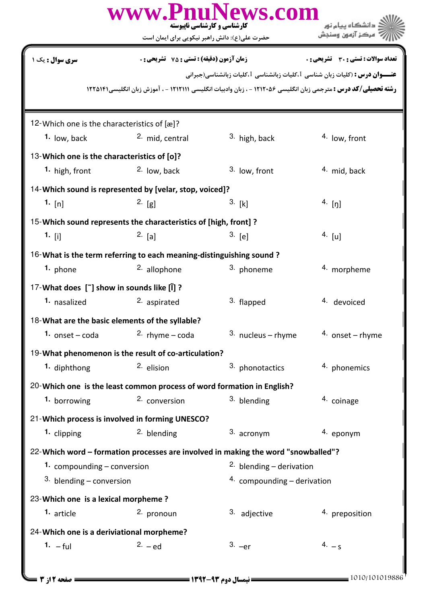| www.PnuNews.com<br>دانشگاه پیام نور<br>کارشناسی و کارشناسی ناپیوسته<br>مركز آزمون وسنجش<br>حضرت علی(ع): دانش راهبر نیکویی برای ایمان است |                                                                        |                                                                                                                                                                                                              |                                                           |  |  |  |
|------------------------------------------------------------------------------------------------------------------------------------------|------------------------------------------------------------------------|--------------------------------------------------------------------------------------------------------------------------------------------------------------------------------------------------------------|-----------------------------------------------------------|--|--|--|
| <b>سری سوال :</b> یک ۱                                                                                                                   | <b>زمان آزمون (دقیقه) : تستی : 75 تشریحی : 0</b>                       | <b>عنـــوان درس :</b> (کلیات زبان شناسی 1،کلیات زبانشناسی 1،کلیات زبانشناسی(جبرانی<br><b>رشته تحصیلی/کد درس :</b> مترجمی زبان انگلیسی ۱۲۱۲۰۵۶ - ، زبان وادبیات انگلیسی ۱۲۱۲۱۱۱ - ، آموزش زبان انگلیسی۱۲۲۵۱۴۱ | <b>تعداد سوالات : تستی : 30 ٪ تشریحی : 0</b>              |  |  |  |
|                                                                                                                                          |                                                                        |                                                                                                                                                                                                              |                                                           |  |  |  |
| 12-Which one is the characteristics of [æ]?<br>$1.$ low, back                                                                            | <sup>2.</sup> mid, central                                             | <sup>3.</sup> high, back                                                                                                                                                                                     | <sup>4.</sup> low, front                                  |  |  |  |
| 13-Which one is the characteristics of [o]?                                                                                              |                                                                        |                                                                                                                                                                                                              |                                                           |  |  |  |
| <sup>1</sup> high, front                                                                                                                 | <sup>2.</sup> low, back                                                | 3. low, front                                                                                                                                                                                                | <sup>4</sup> mid, back                                    |  |  |  |
| 14-Which sound is represented by [velar, stop, voiced]?                                                                                  |                                                                        |                                                                                                                                                                                                              |                                                           |  |  |  |
| 1. $[n]$                                                                                                                                 | 2. [g]                                                                 | 3. [k]                                                                                                                                                                                                       | $4.$ [ŋ]                                                  |  |  |  |
|                                                                                                                                          | 15-Which sound represents the characteristics of [high, front] ?       |                                                                                                                                                                                                              |                                                           |  |  |  |
| 1. [i]                                                                                                                                   | $2.$ [a]                                                               | 3. [e]                                                                                                                                                                                                       | 4. [u]                                                    |  |  |  |
|                                                                                                                                          | 16-What is the term referring to each meaning-distinguishing sound?    |                                                                                                                                                                                                              |                                                           |  |  |  |
| 1. phone                                                                                                                                 | 2. allophone                                                           | 3. phoneme                                                                                                                                                                                                   | 4. morpheme                                               |  |  |  |
| 17-What does [~] show in sounds like [ĭ] ?                                                                                               |                                                                        |                                                                                                                                                                                                              |                                                           |  |  |  |
| 1. nasalized                                                                                                                             | 2. aspirated                                                           | 3. flapped                                                                                                                                                                                                   | 4. devoiced                                               |  |  |  |
|                                                                                                                                          | 18-What are the basic elements of the syllable?                        |                                                                                                                                                                                                              |                                                           |  |  |  |
| 1. $onset - coda$                                                                                                                        | 2. $r$ hyme – coda                                                     | $3.$ nucleus - rhyme                                                                                                                                                                                         | 4. onset – rhyme                                          |  |  |  |
|                                                                                                                                          | 19-What phenomenon is the result of co-articulation?                   |                                                                                                                                                                                                              |                                                           |  |  |  |
| 1. diphthong                                                                                                                             | $2.$ elision                                                           | 3. phonotactics                                                                                                                                                                                              | 4. phonemics                                              |  |  |  |
|                                                                                                                                          | 20-Which one is the least common process of word formation in English? |                                                                                                                                                                                                              |                                                           |  |  |  |
| 1. borrowing                                                                                                                             | 2. conversion                                                          | 3. blending                                                                                                                                                                                                  | 4. coinage                                                |  |  |  |
|                                                                                                                                          | 21-Which process is involved in forming UNESCO?                        |                                                                                                                                                                                                              |                                                           |  |  |  |
| 1. clipping                                                                                                                              | <sup>2.</sup> blending                                                 | 3. acronym                                                                                                                                                                                                   | 4. eponym                                                 |  |  |  |
| 22-Which word - formation processes are involved in making the word "snowballed"?                                                        |                                                                        |                                                                                                                                                                                                              |                                                           |  |  |  |
| 1. compounding - conversion                                                                                                              |                                                                        |                                                                                                                                                                                                              | 2. blending $-$ derivation<br>4. compounding - derivation |  |  |  |
| 3. blending $-$ conversion                                                                                                               |                                                                        |                                                                                                                                                                                                              |                                                           |  |  |  |
| 23-Which one is a lexical morpheme?<br>1. article                                                                                        | 2. pronoun                                                             | 3. adjective                                                                                                                                                                                                 | 4. preposition                                            |  |  |  |
| 24-Which one is a deriviational morpheme?                                                                                                |                                                                        |                                                                                                                                                                                                              |                                                           |  |  |  |
| $1. -ful$                                                                                                                                | $2. -ed$                                                               | $3. -er$                                                                                                                                                                                                     | $4. - s$                                                  |  |  |  |
|                                                                                                                                          |                                                                        |                                                                                                                                                                                                              |                                                           |  |  |  |